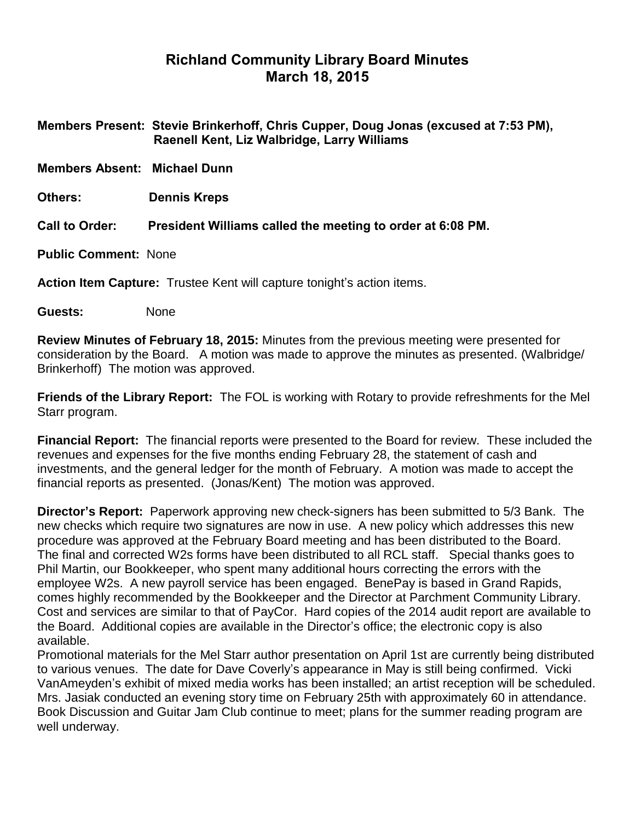# **Richland Community Library Board Minutes March 18, 2015**

|                                                                        | Members Present: Stevie Brinkerhoff, Chris Cupper, Doug Jonas (excused at 7:53 PM),<br>Raenell Kent, Liz Walbridge, Larry Williams |  |
|------------------------------------------------------------------------|------------------------------------------------------------------------------------------------------------------------------------|--|
| <b>Members Absent: Michael Dunn</b>                                    |                                                                                                                                    |  |
| <b>Others:</b>                                                         | <b>Dennis Kreps</b>                                                                                                                |  |
| <b>Call to Order:</b>                                                  | President Williams called the meeting to order at 6:08 PM.                                                                         |  |
| <b>Public Comment: None</b>                                            |                                                                                                                                    |  |
| Action Item Capture: Trustee Kent will capture tonight's action items. |                                                                                                                                    |  |

**Guests:** None

**Review Minutes of February 18, 2015:** Minutes from the previous meeting were presented for consideration by the Board. A motion was made to approve the minutes as presented. (Walbridge/ Brinkerhoff) The motion was approved.

**Friends of the Library Report:** The FOL is working with Rotary to provide refreshments for the Mel Starr program.

**Financial Report:** The financial reports were presented to the Board for review. These included the revenues and expenses for the five months ending February 28, the statement of cash and investments, and the general ledger for the month of February. A motion was made to accept the financial reports as presented. (Jonas/Kent) The motion was approved.

**Director's Report:** Paperwork approving new check-signers has been submitted to 5/3 Bank. The new checks which require two signatures are now in use. A new policy which addresses this new procedure was approved at the February Board meeting and has been distributed to the Board. The final and corrected W2s forms have been distributed to all RCL staff. Special thanks goes to Phil Martin, our Bookkeeper, who spent many additional hours correcting the errors with the employee W2s. A new payroll service has been engaged. BenePay is based in Grand Rapids, comes highly recommended by the Bookkeeper and the Director at Parchment Community Library. Cost and services are similar to that of PayCor. Hard copies of the 2014 audit report are available to the Board. Additional copies are available in the Director's office; the electronic copy is also available.

Promotional materials for the Mel Starr author presentation on April 1st are currently being distributed to various venues. The date for Dave Coverly's appearance in May is still being confirmed. Vicki VanAmeyden's exhibit of mixed media works has been installed; an artist reception will be scheduled. Mrs. Jasiak conducted an evening story time on February 25th with approximately 60 in attendance. Book Discussion and Guitar Jam Club continue to meet; plans for the summer reading program are well underway.